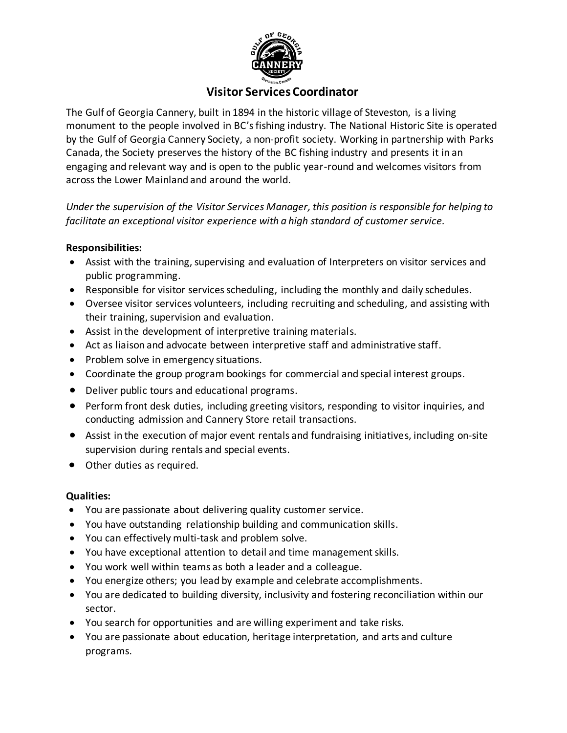

# **Visitor Services Coordinator**

The Gulf of Georgia Cannery, built in 1894 in the historic village of Steveston, is a living monument to the people involved in BC's fishing industry. The National Historic Site is operated by the Gulf of Georgia Cannery Society, a non-profit society. Working in partnership with Parks Canada, the Society preserves the history of the BC fishing industry and presents it in an engaging and relevant way and is open to the public year-round and welcomes visitors from across the Lower Mainland and around the world.

*Under the supervision of the Visitor Services Manager, this position is responsible for helping to facilitate an exceptional visitor experience with a high standard of customer service.*

## **Responsibilities:**

- Assist with the training, supervising and evaluation of Interpreters on visitor services and public programming.
- Responsible for visitor services scheduling, including the monthly and daily schedules.
- Oversee visitor services volunteers, including recruiting and scheduling, and assisting with their training, supervision and evaluation.
- Assist in the development of interpretive training materials.
- Act as liaison and advocate between interpretive staff and administrative staff.
- Problem solve in emergency situations.
- Coordinate the group program bookings for commercial and special interest groups.
- Deliver public tours and educational programs.
- Perform front desk duties, including greeting visitors, responding to visitor inquiries, and conducting admission and Cannery Store retail transactions.
- Assist in the execution of major event rentals and fundraising initiatives, including on-site supervision during rentals and special events.
- Other duties as required.

## **Qualities:**

- You are passionate about delivering quality customer service.
- You have outstanding relationship building and communication skills.
- You can effectively multi-task and problem solve.
- You have exceptional attention to detail and time management skills.
- You work well within teams as both a leader and a colleague.
- You energize others; you lead by example and celebrate accomplishments.
- You are dedicated to building diversity, inclusivity and fostering reconciliation within our sector.
- You search for opportunities and are willing experiment and take risks.
- You are passionate about education, heritage interpretation, and arts and culture programs.